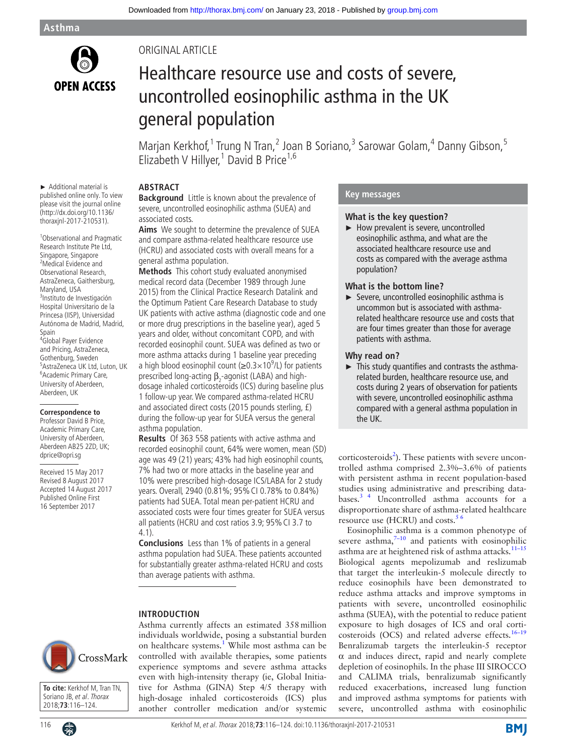**OPEN ACCESS** 

► Additional material is published online only. To view please visit the journal online (http://dx.doi.org/10.1136/ thoraxjnl-2017-210531).

1 Observational and Pragmatic Research Institute Pte Ltd, Singapore, Singapore <sup>2</sup>Medical Evidence and Observational Research, AstraZeneca, Gaithersburg, Maryland, USA <sup>3</sup>Instituto de Investigación Hospital Universitario de la Princesa (IISP), Universidad Autónoma de Madrid, Madrid,

Spain

4 Global Payer Evidence and Pricing, AstraZeneca, Gothenburg, Sweden <sup>5</sup> AstraZeneca UK Ltd, Luton, UK <sup>6</sup> Academic Primary Care, University of Aberdeen, Aberdeen, UK

**Correspondence to** Professor David B Price, Academic Primary Care, University of Aberdeen, Aberdeen AB25 2ZD, UK; dprice@opri.sg

Received 15 May 2017 Revised 8 August 2017 Accepted 14 August 2017 Published Online First 16 September 2017

# Original Article

# Healthcare resource use and costs of severe, uncontrolled eosinophilic asthma in the UK general population

Marjan Kerkhof,<sup>1</sup> Trung N Tran,<sup>2</sup> Joan B Soriano,<sup>3</sup> Sarowar Golam,<sup>4</sup> Danny Gibson,<sup>5</sup> Elizabeth V Hillyer,<sup>1</sup> David B Price<sup>1,6</sup>

# **Abstract**

**Background** Little is known about the prevalence of severe, uncontrolled eosinophilic asthma (SUEA) and associated costs.

**Aims** We sought to determine the prevalence of SUEA and compare asthma-related healthcare resource use (HCRU) and associated costs with overall means for a general asthma population.

**Methods** This cohort study evaluated anonymised medical record data (December 1989 through June 2015) from the Clinical Practice Research Datalink and the Optimum Patient Care Research Database to study UK patients with active asthma (diagnostic code and one or more drug prescriptions in the baseline year), aged 5 years and older, without concomitant COPD, and with recorded eosinophil count. SUEA was defined as two or more asthma attacks during 1 baseline year preceding a high blood eosinophil count ( $\geq 0.3 \times 10^9$ /L) for patients prescribed long-acting  $\beta_{2}$ -agonist (LABA) and highdosage inhaled corticosteroids (ICS) during baseline plus 1 follow-up year. We compared asthma-related HCRU and associated direct costs (2015 pounds sterling, £) during the follow-up year for SUEA versus the general asthma population.

**Results** Of 363 558 patients with active asthma and recorded eosinophil count, 64% were women, mean (SD) age was 49 (21) years; 43% had high eosinophil counts, 7% had two or more attacks in the baseline year and 10% were prescribed high-dosage ICS/LABA for 2 study years. Overall, 2940 (0.81%; 95% CI 0.78% to 0.84%) patients had SUEA. Total mean per-patient HCRU and associated costs were four times greater for SUEA versus all patients (HCRU and cost ratios 3.9; 95% CI 3.7 to 4.1).

**Conclusions** Less than 1% of patients in a general asthma population had SUEA. These patients accounted for substantially greater asthma-related HCRU and costs than average patients with asthma.

Asthma currently affects an estimated 358million individuals worldwide, posing a substantial burden on healthcare systems.<sup>[1](#page-7-0)</sup> While most asthma can be controlled with available therapies, some patients experience symptoms and severe asthma attacks even with high-intensity therapy (ie, Global Initiative for Asthma (GINA) Step 4/5 therapy with high-dosage inhaled corticosteroids (ICS) plus another controller medication and/or systemic

# **Introduction**



**To cite:** Kerkhof M, Tran TN, Soriano JB, et al. Thorax 2018;**73**:116–124.



# **Key messages**

#### **What is the key question?**

► How prevalent is severe, uncontrolled eosinophilic asthma, and what are the associated healthcare resource use and costs as compared with the average asthma population?

### **What is the bottom line?**

► Severe, uncontrolled eosinophilic asthma is uncommon but is associated with asthmarelated healthcare resource use and costs that are four times greater than those for average patients with asthma.

### **Why read on?**

 $\blacktriangleright$  This study quantifies and contrasts the asthmarelated burden, healthcare resource use, and costs during 2 years of observation for patients with severe, uncontrolled eosinophilic asthma compared with a general asthma population in the UK.

 $corticosteroids<sup>2</sup>$  $corticosteroids<sup>2</sup>$  $corticosteroids<sup>2</sup>$ ). These patients with severe uncontrolled asthma comprised 2.3%–3.6% of patients with persistent asthma in recent population-based studies using administrative and prescribing databases[.3 4](#page-7-2) Uncontrolled asthma accounts for a disproportionate share of asthma-related healthcare resource use (HCRU) and costs.<sup>5  $6$ </sup>

Eosinophilic asthma is a common phenotype of severe asthma, $7-10$  and patients with eosinophilic asthma are at heightened risk of asthma attacks.<sup>11-15</sup> Biological agents mepolizumab and reslizumab that target the interleukin-5 molecule directly to reduce eosinophils have been demonstrated to reduce asthma attacks and improve symptoms in patients with severe, uncontrolled eosinophilic asthma (SUEA), with the potential to reduce patient exposure to high dosages of ICS and oral corticosteroids (OCS) and related adverse effects.<sup>16-19</sup> Benralizumab targets the interleukin-5 receptor  $\alpha$  and induces direct, rapid and nearly complete depletion of eosinophils. In the phase III SIROCCO and CALIMA trials, benralizumab significantly reduced exacerbations, increased lung function and improved asthma symptoms for patients with severe, uncontrolled asthma with eosinophilic

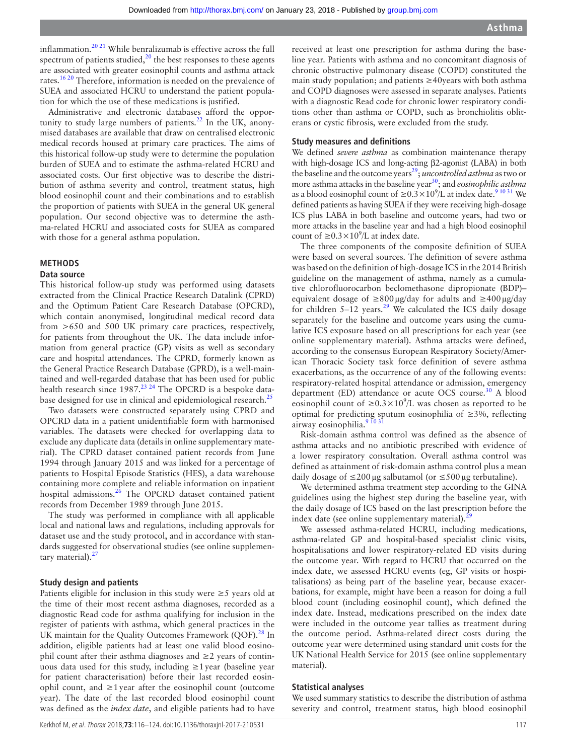inflammation.<sup>20 21</sup> While benralizumab is effective across the full spectrum of patients studied, $2^0$  the best responses to these agents are associated with greater eosinophil counts and asthma attack rates.[16 20](#page-7-6) Therefore, information is needed on the prevalence of SUEA and associated HCRU to understand the patient population for which the use of these medications is justified.

Administrative and electronic databases afford the opportunity to study large numbers of patients. $^{22}$  In the UK, anonymised databases are available that draw on centralised electronic medical records housed at primary care practices. The aims of this historical follow-up study were to determine the population burden of SUEA and to estimate the asthma-related HCRU and associated costs. Our first objective was to describe the distribution of asthma severity and control, treatment status, high blood eosinophil count and their combinations and to establish the proportion of patients with SUEA in the general UK general population. Our second objective was to determine the asthma-related HCRU and associated costs for SUEA as compared with those for a general asthma population.

#### **Methods**

#### **Data source**

This historical follow-up study was performed using datasets extracted from the Clinical Practice Research Datalink (CPRD) and the Optimum Patient Care Research Database (OPCRD), which contain anonymised, longitudinal medical record data from >650 and 500 UK primary care practices, respectively, for patients from throughout the UK. The data include information from general practice (GP) visits as well as secondary care and hospital attendances. The CPRD, formerly known as the General Practice Research Database (GPRD), is a well-maintained and well-regarded database that has been used for public health research since 1987.<sup>[23 24](#page-8-2)</sup> The OPCRD is a bespoke database designed for use in clinical and epidemiological research. $^{25}$ 

Two datasets were constructed separately using CPRD and OPCRD data in a patient unidentifiable form with harmonised variables. The datasets were checked for overlapping data to exclude any duplicate data (details in online [supplementary mate](https://dx.doi.org/10.1136/thoraxjnl-2017-210531)[rial\)](https://dx.doi.org/10.1136/thoraxjnl-2017-210531). The CPRD dataset contained patient records from June 1994 through January 2015 and was linked for a percentage of patients to Hospital Episode Statistics (HES), a data warehouse containing more complete and reliable information on inpatient hospital admissions.<sup>26</sup> The OPCRD dataset contained patient records from December 1989 through June 2015.

The study was performed in compliance with all applicable local and national laws and regulations, including approvals for dataset use and the study protocol, and in accordance with standards suggested for observational studies (see online [supplemen](https://dx.doi.org/10.1136/thoraxjnl-2017-210531)[tary material](https://dx.doi.org/10.1136/thoraxjnl-2017-210531)). $27$ 

#### **Study design and patients**

Patients eligible for inclusion in this study were  $\geq$  5 years old at the time of their most recent asthma diagnoses, recorded as a diagnostic Read code for asthma qualifying for inclusion in the register of patients with asthma, which general practices in the UK maintain for the Quality Outcomes Framework (QOF).<sup>28</sup> In addition, eligible patients had at least one valid blood eosinophil count after their asthma diagnoses and  $\geq 2$  years of continuous data used for this study, including  $\geq 1$  year (baseline year for patient characterisation) before their last recorded eosinophil count, and ≥1 year after the eosinophil count (outcome year). The date of the last recorded blood eosinophil count was defined as the *index date*, and eligible patients had to have

received at least one prescription for asthma during the baseline year. Patients with asthma and no concomitant diagnosis of chronic obstructive pulmonary disease (COPD) constituted the main study population; and patients ≥40years with both asthma and COPD diagnoses were assessed in separate analyses. Patients with a diagnostic Read code for chronic lower respiratory conditions other than asthma or COPD, such as bronchiolitis obliterans or cystic fibrosis, were excluded from the study.

#### **Study measures and definitions**

We defined *severe asthma* as combination maintenance therapy with high-dosage ICS and long-acting β2-agonist (LABA) in both the baseline and the outcome years<sup>29</sup>; *uncontrolled asthma* as two or more asthma attacks in the baseline year<sup>[30](#page-8-8)</sup>; and *eosinophilic asthma* as a blood eosinophil count of  $\geq 0.3 \times 10^9$ /L at index date.<sup>9 10 31</sup> We defined patients as having SUEA if they were receiving high-dosage ICS plus LABA in both baseline and outcome years, had two or more attacks in the baseline year and had a high blood eosinophil count of  $\geq 0.3 \times 10^9$ /L at index date.

The three components of the composite definition of SUEA were based on several sources. The definition of severe asthma was based on the definition of high-dosage ICS in the 2014 British guideline on the management of asthma, namely as a cumulative chlorofluorocarbon beclomethasone dipropionate (BDP)– equivalent dosage of  $\geq 800 \mu g/day$  for adults and  $\geq 400 \mu g/day$ for children  $5-12$  years.<sup>[29](#page-8-7)</sup> We calculated the ICS daily dosage separately for the baseline and outcome years using the cumulative ICS exposure based on all prescriptions for each year (see online [supplementary material\)](https://dx.doi.org/10.1136/thoraxjnl-2017-210531). Asthma attacks were defined, according to the consensus European Respiratory Society/American Thoracic Society task force definition of severe asthma exacerbations, as the occurrence of any of the following events: respiratory-related hospital attendance or admission, emergency department (ED) attendance or acute OCS course.<sup>30</sup> A blood eosinophil count of  $\geq 0.3 \times 10^9$ /L was chosen as reported to be optimal for predicting sputum eosinophilia of ≥3%, reflecting airway eosinophilia.<sup>9</sup>

Risk-domain asthma control was defined as the absence of asthma attacks and no antibiotic prescribed with evidence of a lower respiratory consultation. Overall asthma control was defined as attainment of risk-domain asthma control plus a mean daily dosage of  $\leq$ 200 µg salbutamol (or  $\leq$ 500 µg terbutaline).

We determined asthma treatment step according to the GINA guidelines using the highest step during the baseline year, with the daily dosage of ICS based on the last prescription before the index date (see online [supplementary material](https://dx.doi.org/10.1136/thoraxjnl-2017-210531)). $2^{2}$ 

We assessed asthma-related HCRU, including medications, asthma-related GP and hospital-based specialist clinic visits, hospitalisations and lower respiratory-related ED visits during the outcome year. With regard to HCRU that occurred on the index date, we assessed HCRU events (eg, GP visits or hospitalisations) as being part of the baseline year, because exacerbations, for example, might have been a reason for doing a full blood count (including eosinophil count), which defined the index date. Instead, medications prescribed on the index date were included in the outcome year tallies as treatment during the outcome period. Asthma-related direct costs during the outcome year were determined using standard unit costs for the UK National Health Service for 2015 (see online [supplementary](https://dx.doi.org/10.1136/thoraxjnl-2017-210531) [material](https://dx.doi.org/10.1136/thoraxjnl-2017-210531)).

#### **Statistical analyses**

We used summary statistics to describe the distribution of asthma severity and control, treatment status, high blood eosinophil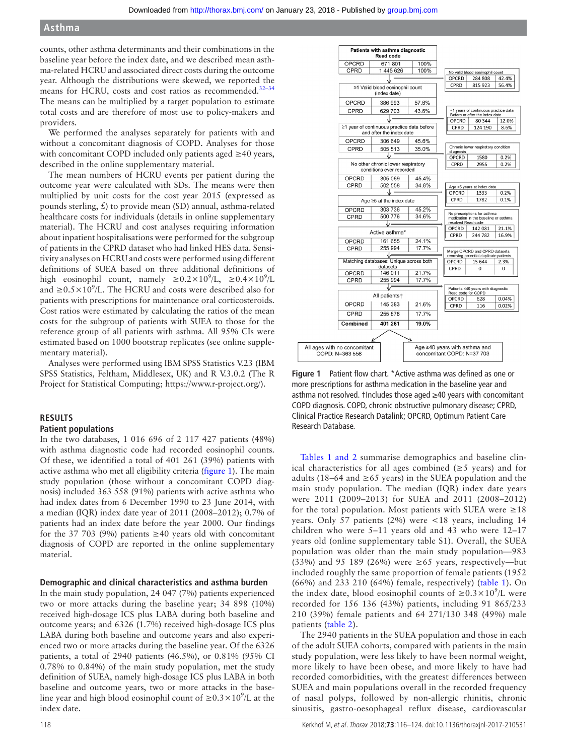#### **Asthma**

counts, other asthma determinants and their combinations in the baseline year before the index date, and we described mean asthma-related HCRU and associated direct costs during the outcome year. Although the distributions were skewed, we reported the means for HCRU, costs and cost ratios as recommended.<sup>32-34</sup> The means can be multiplied by a target population to estimate total costs and are therefore of most use to policy-makers and providers.

We performed the analyses separately for patients with and without a concomitant diagnosis of COPD. Analyses for those with concomitant COPD included only patients aged ≥40 years, described in the online [supplementary material.](https://dx.doi.org/10.1136/thoraxjnl-2017-210531)

The mean numbers of HCRU events per patient during the outcome year were calculated with SDs. The means were then multiplied by unit costs for the cost year 2015 (expressed as pounds sterling,  $\hat{L}$ ) to provide mean (SD) annual, asthma-related healthcare costs for individuals (details in online [supplementary](https://dx.doi.org/10.1136/thoraxjnl-2017-210531)  [material](https://dx.doi.org/10.1136/thoraxjnl-2017-210531)). The HCRU and cost analyses requiring information about inpatient hospitalisations were performed for the subgroup of patients in the CPRD dataset who had linked HES data. Sensitivity analyses on HCRU and costs were performed using different definitions of SUEA based on three additional definitions of high eosinophil count, namely  $\geq 0.2 \times 10^9$ /L,  $\geq 0.4 \times 10^9$ /L and ≥0.5 $\times$ 10<sup>9</sup>/L. The HCRU and costs were described also for patients with prescriptions for maintenance oral corticosteroids. Cost ratios were estimated by calculating the ratios of the mean costs for the subgroup of patients with SUEA to those for the reference group of all patients with asthma. All 95% CIs were estimated based on 1000 bootstrap replicates (see online [supple](https://dx.doi.org/10.1136/thoraxjnl-2017-210531)[mentary material\)](https://dx.doi.org/10.1136/thoraxjnl-2017-210531).

Analyses were performed using IBM SPSS Statistics V.23 (IBM SPSS Statistics, Feltham, Middlesex, UK) and R V.3.0.2 (The R Project for Statistical Computing; [https://www.r-project.org/\)](https://www.r-project.org/).

#### **Results**

#### **Patient populations**

In the two databases, 1 016 696 of 2 117 427 patients (48%) with asthma diagnostic code had recorded eosinophil counts. Of these, we identified a total of 401 261 (39%) patients with active asthma who met all eligibility criteria [\(figure](#page-2-0) 1). The main study population (those without a concomitant COPD diagnosis) included 363 558 (91%) patients with active asthma who had index dates from 6 December 1990 to 23 June 2014, with a median (IQR) index date year of 2011 (2008–2012); 0.7% of patients had an index date before the year 2000. Our findings for the 37 703 (9%) patients  $\geq$  40 years old with concomitant diagnosis of COPD are reported in the online [supplementary](https://dx.doi.org/10.1136/thoraxjnl-2017-210531)  [material](https://dx.doi.org/10.1136/thoraxjnl-2017-210531).

#### **Demographic and clinical characteristics and asthma burden**

In the main study population, 24 047 (7%) patients experienced two or more attacks during the baseline year; 34 898 (10%) received high-dosage ICS plus LABA during both baseline and outcome years; and 6326 (1.7%) received high-dosage ICS plus LABA during both baseline and outcome years and also experienced two or more attacks during the baseline year. Of the 6326 patients, a total of 2940 patients (46.5%), or 0.81% (95% CI 0.78% to 0.84%) of the main study population, met the study definition of SUEA, namely high-dosage ICS plus LABA in both baseline and outcome years, two or more attacks in the baseline year and high blood eosinophil count of  $\geq 0.3 \times 10^9$ /L at the index date.



<span id="page-2-0"></span>**Figure 1** Patient flow chart. \*Active asthma was defined as one or more prescriptions for asthma medication in the baseline year and asthma not resolved. †Includes those aged ≥40 years with concomitant COPD diagnosis. COPD, chronic obstructive pulmonary disease; CPRD, Clinical Practice Research Datalink; OPCRD, Optimum Patient Care Research Database.

Tables [1 and 2](#page-3-0) summarise demographics and baseline clinical characteristics for all ages combined ( $\geq$ 5 years) and for adults (18–64 and  $\geq 65$  years) in the SUEA population and the main study population. The median (IQR) index date years were 2011 (2009–2013) for SUEA and 2011 (2008–2012) for the total population. Most patients with SUEA were  $\geq 18$ years. Only 57 patients (2%) were <18 years, including 14 children who were 5–11 years old and 43 who were 12–17 years old (online [supplementary table S1\)](https://dx.doi.org/10.1136/thoraxjnl-2017-210531). Overall, the SUEA population was older than the main study population—983 (33%) and 95 189 (26%) were  $\geq 65$  years, respectively—but included roughly the same proportion of female patients (1952 (66%) and 233 210 (64%) female, respectively) ([table](#page-3-0) 1). On the index date, blood eosinophil counts of  $\geq 0.3 \times 10^9$ /L were recorded for 156 136 (43%) patients, including 91 865/233 210 (39%) female patients and 64 271/130 348 (49%) male patients ([table](#page-4-0) 2).

The 2940 patients in the SUEA population and those in each of the adult SUEA cohorts, compared with patients in the main study population, were less likely to have been normal weight, more likely to have been obese, and more likely to have had recorded comorbidities, with the greatest differences between SUEA and main populations overall in the recorded frequency of nasal polyps, followed by non-allergic rhinitis, chronic sinusitis, gastro-oesophageal reflux disease, cardiovascular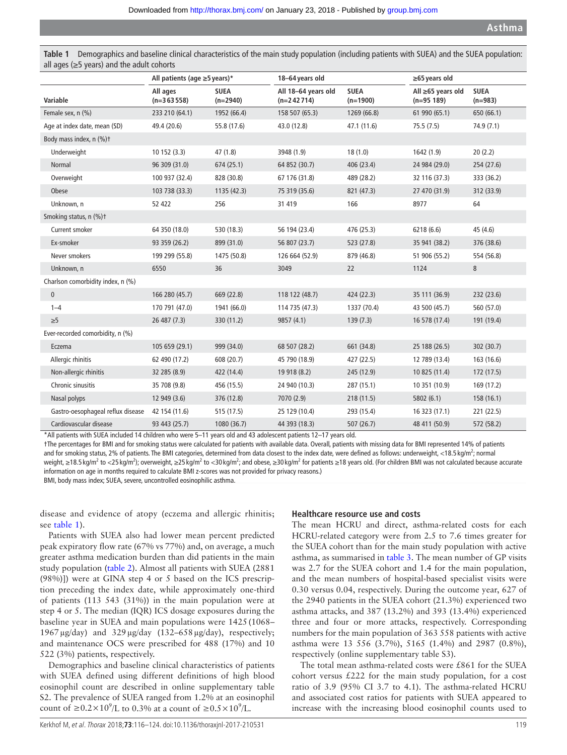<span id="page-3-0"></span>**Table 1** Demographics and baseline clinical characteristics of the main study population (including patients with SUEA) and the SUEA population: all ages (≥5 years) and the adult cohorts

|                                   | All patients (age $\geq$ 5 years)* |                           | 18-64 years old                     |                           | $\geq$ 65 years old                     |                          |
|-----------------------------------|------------------------------------|---------------------------|-------------------------------------|---------------------------|-----------------------------------------|--------------------------|
| Variable                          | All ages<br>$(n=363558)$           | <b>SUEA</b><br>$(n=2940)$ | All 18-64 years old<br>$(n=242714)$ | <b>SUEA</b><br>$(n=1900)$ | All $\geq 65$ years old<br>$(n=95 189)$ | <b>SUEA</b><br>$(n=983)$ |
| Female sex, n (%)                 | 233 210 (64.1)                     | 1952 (66.4)               | 158 507 (65.3)                      | 1269 (66.8)               | 61 990 (65.1)                           | 650 (66.1)               |
| Age at index date, mean (SD)      | 49.4 (20.6)                        | 55.8 (17.6)               | 43.0 (12.8)                         | 47.1 (11.6)               | 75.5(7.5)                               | 74.9 (7.1)               |
| Body mass index, n (%)t           |                                    |                           |                                     |                           |                                         |                          |
| Underweight                       | 10152(3.3)                         | 47(1.8)                   | 3948 (1.9)                          | 18(1.0)                   | 1642 (1.9)                              | 20(2.2)                  |
| Normal                            | 96 309 (31.0)                      | 674(25.1)                 | 64 852 (30.7)                       | 406 (23.4)                | 24 984 (29.0)                           | 254 (27.6)               |
| Overweight                        | 100 937 (32.4)                     | 828 (30.8)                | 67 176 (31.8)                       | 489 (28.2)                | 32 116 (37.3)                           | 333 (36.2)               |
| Obese                             | 103 738 (33.3)                     | 1135(42.3)                | 75 319 (35.6)                       | 821 (47.3)                | 27 470 (31.9)                           | 312 (33.9)               |
| Unknown, n                        | 52 422                             | 256                       | 31 419                              | 166                       | 8977                                    | 64                       |
| Smoking status, n (%)+            |                                    |                           |                                     |                           |                                         |                          |
| Current smoker                    | 64 350 (18.0)                      | 530 (18.3)                | 56 194 (23.4)                       | 476 (25.3)                | 6218(6.6)                               | 45 (4.6)                 |
| Ex-smoker                         | 93 359 (26.2)                      | 899 (31.0)                | 56 807 (23.7)                       | 523 (27.8)                | 35 941 (38.2)                           | 376 (38.6)               |
| Never smokers                     | 199 299 (55.8)                     | 1475 (50.8)               | 126 664 (52.9)                      | 879 (46.8)                | 51 906 (55.2)                           | 554 (56.8)               |
| Unknown, n                        | 6550                               | 36                        | 3049                                | 22                        | 1124                                    | 8                        |
| Charlson comorbidity index, n (%) |                                    |                           |                                     |                           |                                         |                          |
| $\mathbf{0}$                      | 166 280 (45.7)                     | 669 (22.8)                | 118 122 (48.7)                      | 424 (22.3)                | 35 111 (36.9)                           | 232 (23.6)               |
| $1 - 4$                           | 170 791 (47.0)                     | 1941 (66.0)               | 114 735 (47.3)                      | 1337 (70.4)               | 43 500 (45.7)                           | 560 (57.0)               |
| $\geq 5$                          | 26 487 (7.3)                       | 330 (11.2)                | 9857 (4.1)                          | 139(7.3)                  | 16 578 (17.4)                           | 191 (19.4)               |
| Ever-recorded comorbidity, n (%)  |                                    |                           |                                     |                           |                                         |                          |
| Eczema                            | 105 659 (29.1)                     | 999 (34.0)                | 68 507 (28.2)                       | 661 (34.8)                | 25 188 (26.5)                           | 302 (30.7)               |
| Allergic rhinitis                 | 62 490 (17.2)                      | 608 (20.7)                | 45 790 (18.9)                       | 427 (22.5)                | 12 789 (13.4)                           | 163 (16.6)               |
| Non-allergic rhinitis             | 32 285 (8.9)                       | 422 (14.4)                | 19 918 (8.2)                        | 245 (12.9)                | 10 825 (11.4)                           | 172 (17.5)               |
| Chronic sinusitis                 | 35 708 (9.8)                       | 456 (15.5)                | 24 940 (10.3)                       | 287 (15.1)                | 10 351 (10.9)                           | 169 (17.2)               |
| Nasal polyps                      | 12 949 (3.6)                       | 376 (12.8)                | 7070 (2.9)                          | 218 (11.5)                | 5802(6.1)                               | 158 (16.1)               |
| Gastro-oesophageal reflux disease | 42 154 (11.6)                      | 515 (17.5)                | 25 129 (10.4)                       | 293 (15.4)                | 16 323 (17.1)                           | 221 (22.5)               |
| Cardiovascular disease            | 93 443 (25.7)                      | 1080 (36.7)               | 44 393 (18.3)                       | 507 (26.7)                | 48 411 (50.9)                           | 572 (58.2)               |

\*All patients with SUEA included 14 children who were 5–11 years old and 43 adolescent patients 12–17 years old.

†The percentages for BMI and for smoking status were calculated for patients with available data. Overall, patients with missing data for BMI represented 14% of patients and for smoking status, 2% of patients. The BMI categories, determined from data closest to the index date, were defined as follows: underweight, <18.5 kg/m<sup>2</sup>; normal weight, ≥18.5 kg/m<sup>2</sup> to <25 kg/m<sup>2</sup>); overweight, ≥25 kg/m<sup>2</sup> to <30 kg/m<sup>2</sup>; and obese, ≥30 kg/m<sup>2</sup> for patients ≥18 years old. (For children BMI was not calculated because accurate information on age in months required to calculate BMI z-scores was not provided for privacy reasons.)

BMI, body mass index; SUEA, severe, uncontrolled eosinophilic asthma.

disease and evidence of atopy (eczema and allergic rhinitis; see [table](#page-3-0) 1).

#### **Healthcare resource use and costs**

Patients with SUEA also had lower mean percent predicted peak expiratory flow rate (67% vs 77%) and, on average, a much greater asthma medication burden than did patients in the main study population ([table](#page-4-0) 2). Almost all patients with SUEA (2881 (98%)]) were at GINA step 4 or 5 based on the ICS prescription preceding the index date, while approximately one-third of patients (113 543 (31%)) in the main population were at step 4 or 5. The median (IQR) ICS dosage exposures during the baseline year in SUEA and main populations were 1425(1068–  $1967 \mu$ g/day) and  $329 \mu$ g/day (132–658 $\mu$ g/day), respectively; and maintenance OCS were prescribed for 488 (17%) and 10 522 (3%) patients, respectively.

Demographics and baseline clinical characteristics of patients with SUEA defined using different definitions of high blood eosinophil count are described in online [supplementary table](https://dx.doi.org/10.1136/thoraxjnl-2017-210531)  [S2.](https://dx.doi.org/10.1136/thoraxjnl-2017-210531) The prevalence of SUEA ranged from 1.2% at an eosinophil count of  $\geq 0.2 \times 10^9$ /L to 0.3% at a count of  $\geq 0.5 \times 10^9$ /L.

The mean HCRU and direct, asthma-related costs for each HCRU-related category were from 2.5 to 7.6 times greater for the SUEA cohort than for the main study population with active asthma, as summarised in [table](#page-5-0) 3. The mean number of GP visits was 2.7 for the SUEA cohort and 1.4 for the main population, and the mean numbers of hospital-based specialist visits were 0.30 versus 0.04, respectively. During the outcome year, 627 of the 2940 patients in the SUEA cohort (21.3%) experienced two asthma attacks, and 387 (13.2%) and 393 (13.4%) experienced three and four or more attacks, respectively. Corresponding numbers for the main population of 363 558 patients with active asthma were 13 556 (3.7%), 5165 (1.4%) and 2987 (0.8%), respectively (online [supplementary table S3\)](https://dx.doi.org/10.1136/thoraxjnl-2017-210531).

The total mean asthma-related costs were £861 for the SUEA cohort versus  $£222$  for the main study population, for a cost ratio of 3.9 (95% CI 3.7 to 4.1). The asthma-related HCRU and associated cost ratios for patients with SUEA appeared to increase with the increasing blood eosinophil counts used to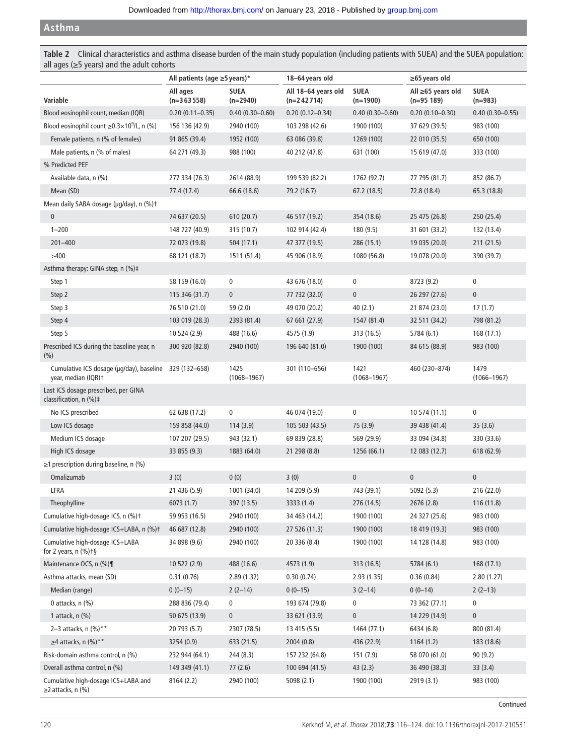# **Asthma**

<span id="page-4-0"></span>**Table 2** Clinical characteristics and asthma disease burden of the main study population (including patients with SUEA) and the SUEA population: all ages (≥5 years) and the adult cohorts

|                                                                               | All patients (age ≥5 years)* |                           | 18-64 years old                     |                           | $\geq$ 65 years old                     |                          |
|-------------------------------------------------------------------------------|------------------------------|---------------------------|-------------------------------------|---------------------------|-----------------------------------------|--------------------------|
| Variable                                                                      | All ages<br>$(n=363558)$     | <b>SUEA</b><br>$(n=2940)$ | All 18-64 years old<br>$(n=242714)$ | <b>SUEA</b><br>$(n=1900)$ | All $\geq 65$ years old<br>$(n=95 189)$ | <b>SUEA</b><br>$(n=983)$ |
| Blood eosinophil count, median (IQR)                                          | $0.20(0.11 - 0.35)$          | $0.40(0.30 - 0.60)$       | $0.20(0.12 - 0.34)$                 | $0.40(0.30 - 0.60)$       | $0.20(0.10 - 0.30)$                     | $0.40(0.30 - 0.55)$      |
| Blood eosinophil count $\geq 0.3 \times 10^9$ /L, n (%)                       | 156 136 (42.9)               | 2940 (100)                | 103 298 (42.6)                      | 1900 (100)                | 37 629 (39.5)                           | 983 (100)                |
| Female patients, n (% of females)                                             | 91 865 (39.4)                | 1952 (100)                | 63 086 (39.8)                       | 1269 (100)                | 22 010 (35.5)                           | 650 (100)                |
| Male patients, n (% of males)                                                 | 64 271 (49.3)                | 988 (100)                 | 40 212 (47.8)                       | 631 (100)                 | 15 619 (47.0)                           | 333 (100)                |
| % Predicted PEF                                                               |                              |                           |                                     |                           |                                         |                          |
| Available data, n (%)                                                         | 277 334 (76.3)               | 2614 (88.9)               | 199 539 (82.2)                      | 1762 (92.7)               | 77 795 (81.7)                           | 852 (86.7)               |
| Mean (SD)                                                                     | 77.4 (17.4)                  | 66.6 (18.6)               | 79.2 (16.7)                         | 67.2(18.5)                | 72.8 (18.4)                             | 65.3 (18.8)              |
| Mean daily SABA dosage (µg/day), n (%)t                                       |                              |                           |                                     |                           |                                         |                          |
| $\mathbf 0$                                                                   | 74 637 (20.5)                | 610 (20.7)                | 46 517 (19.2)                       | 354 (18.6)                | 25 475 (26.8)                           | 250(25.4)                |
| $1 - 200$                                                                     | 148 727 (40.9)               | 315 (10.7)                | 102 914 (42.4)                      | 180 (9.5)                 | 31 601 (33.2)                           | 132 (13.4)               |
| $201 - 400$                                                                   | 72 073 (19.8)                | 504 (17.1)                | 47 377 (19.5)                       | 286 (15.1)                | 19 035 (20.0)                           | 211(21.5)                |
| >400                                                                          | 68 121 (18.7)                | 1511 (51.4)               | 45 906 (18.9)                       | 1080 (56.8)               | 19 078 (20.0)                           | 390 (39.7)               |
| Asthma therapy: GINA step, n (%)#                                             |                              |                           |                                     |                           |                                         |                          |
| Step 1                                                                        | 58 159 (16.0)                | $\pmb{0}$                 | 43 676 (18.0)                       | $\pmb{0}$                 | 8723 (9.2)                              | $\pmb{0}$                |
| Step 2                                                                        | 115 346 (31.7)               | $\mathbf 0$               | 77 732 (32.0)                       | $\pmb{0}$                 | 26 297 (27.6)                           | $\pmb{0}$                |
| Step 3                                                                        | 76 510 (21.0)                | 59 (2.0)                  | 49 070 (20.2)                       | 40(2.1)                   | 21 874 (23.0)                           | 17(1.7)                  |
| Step 4                                                                        | 103 019 (28.3)               | 2393 (81.4)               | 67 661 (27.9)                       | 1547 (81.4)               | 32 511 (34.2)                           | 798 (81.2)               |
| Step 5                                                                        | 10 524 (2.9)                 | 488 (16.6)                | 4575 (1.9)                          | 313 (16.5)                | 5784 (6.1)                              | 168(17.1)                |
| Prescribed ICS during the baseline year, n<br>(%)                             | 300 920 (82.8)               | 2940 (100)                | 196 640 (81.0)                      | 1900 (100)                | 84 615 (88.9)                           | 983 (100)                |
| Cumulative ICS dosage (µg/day), baseline 329 (132-658)<br>year, median (IQR)+ |                              | 1425<br>$(1068 - 1967)$   | 301 (110-656)                       | 1421<br>$(1068 - 1967)$   | 460 (230-874)                           | 1479<br>$(1066 - 1967)$  |
| Last ICS dosage prescribed, per GINA<br>classification, $n$ (%) $\ddagger$    |                              |                           |                                     |                           |                                         |                          |
| No ICS prescribed                                                             | 62 638 (17.2)                | $\pmb{0}$                 | 46 074 (19.0)                       | $\pmb{0}$                 | 10 574 (11.1)                           | $\pmb{0}$                |
| Low ICS dosage                                                                | 159 858 (44.0)               | 114(3.9)                  | 105 503 (43.5)                      | 75 (3.9)                  | 39 438 (41.4)                           | 35(3.6)                  |
| Medium ICS dosage                                                             | 107 207 (29.5)               | 943 (32.1)                | 69 839 (28.8)                       | 569 (29.9)                | 33 094 (34.8)                           | 330 (33.6)               |
| High ICS dosage                                                               | 33 855 (9.3)                 | 1883 (64.0)               | 21 298 (8.8)                        | 1256 (66.1)               | 12 083 (12.7)                           | 618 (62.9)               |
| $\geq$ 1 prescription during baseline, n (%)                                  |                              |                           |                                     |                           |                                         |                          |
| Omalizumab                                                                    | 3(0)                         | 0(0)                      | 3(0)                                | $\pmb{0}$                 | $\pmb{0}$                               | $\pmb{0}$                |
| <b>LTRA</b>                                                                   | 21 436 (5.9)                 | 1001 (34.0)               | 14 209 (5.9)                        | 743 (39.1)                | 5092 (5.3)                              | 216 (22.0)               |
| Theophylline                                                                  | 6073 (1.7)                   | 397 (13.5)                | 3333 (1.4)                          | 276 (14.5)                | 2676 (2.8)                              | 116 (11.8)               |
| Cumulative high-dosage ICS, n (%)+                                            | 59 953 (16.5)                | 2940 (100)                | 34 463 (14.2)                       | 1900 (100)                | 24 327 (25.6)                           | 983 (100)                |
| Cumulative high-dosage ICS+LABA, n (%)t                                       | 46 687 (12.8)                | 2940 (100)                | 27 526 (11.3)                       | 1900 (100)                | 18 419 (19.3)                           | 983 (100)                |
| Cumulative high-dosage ICS+LABA<br>for 2 years, $n$ (%) $\uparrow$ §          | 34 898 (9.6)                 | 2940 (100)                | 20 336 (8.4)                        | 1900 (100)                | 14 128 (14.8)                           | 983 (100)                |
| Maintenance OCS, n (%)¶                                                       | 10 522 (2.9)                 | 488 (16.6)                | 4573 (1.9)                          | 313 (16.5)                | 5784 (6.1)                              | 168(17.1)                |
| Asthma attacks, mean (SD)                                                     | 0.31(0.76)                   | 2.89(1.32)                | 0.30(0.74)                          | 2.93(1.35)                | 0.36(0.84)                              | 2.80(1.27)               |
| Median (range)                                                                | $0(0-15)$                    | $2(2-14)$                 | $0(0-15)$                           | $3(2-14)$                 | $0(0-14)$                               | $2(2-13)$                |
| 0 attacks, $n$ $(\%)$                                                         | 288 836 (79.4)               | $\pmb{0}$                 | 193 674 (79.8)                      | $\pmb{0}$                 | 73 362 (77.1)                           | $\pmb{0}$                |
| 1 attack, $n$ $(\%)$                                                          | 50 675 (13.9)                | $\pmb{0}$                 | 33 621 (13.9)                       | $\pmb{0}$                 | 14 229 (14.9)                           | $\pmb{0}$                |
| 2-3 attacks, $n$ (%)**                                                        | 20 793 (5.7)                 | 2307 (78.5)               | 13 415 (5.5)                        | 1464 (77.1)               | 6434 (6.8)                              | 800 (81.4)               |
| $\geq$ 4 attacks, n $(\%)^*$                                                  | 3254 (0.9)                   | 633 (21.5)                | 2004(0.8)                           | 436 (22.9)                | 1164(1.2)                               | 183 (18.6)               |
| Risk-domain asthma control, n (%)                                             | 232 944 (64.1)               | 244 (8.3)                 | 157 232 (64.8)                      | 151 (7.9)                 | 58 070 (61.0)                           | 90(9.2)                  |
| Overall asthma control, n (%)                                                 | 149 349 (41.1)               | 77(2.6)                   | 100 694 (41.5)                      | 43(2.3)                   | 36 490 (38.3)                           | 33(3.4)                  |
| Cumulative high-dosage ICS+LABA and<br>$\geq$ 2 attacks, n (%)                | 8164 (2.2)                   | 2940 (100)                | 5098(2.1)                           | 1900 (100)                | 2919 (3.1)                              | 983 (100)                |

**Continued**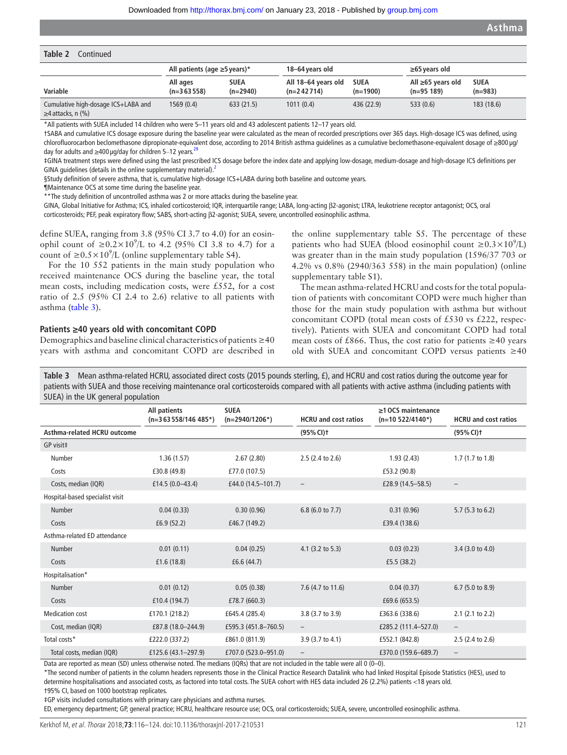#### **Table 2** Continued

|                                                                | All patients (age $\geq$ 5 years)* |                           | 18-64 years old                     |                           | $\geq$ 65 years old               |                          |
|----------------------------------------------------------------|------------------------------------|---------------------------|-------------------------------------|---------------------------|-----------------------------------|--------------------------|
| Variable                                                       | All ages<br>$(n=363558)$           | <b>SUEA</b><br>$(n=2940)$ | All 18-64 years old<br>$(n=242714)$ | <b>SUEA</b><br>$(n=1900)$ | All ≥65 years old<br>$(n=95 189)$ | <b>SUEA</b><br>$(n=983)$ |
| Cumulative high-dosage ICS+LABA and<br>$\geq$ 4 attacks, n (%) | 1569(0.4)                          | 633(21.5)                 | 1011(0.4)                           | 436 (22.9)                | 533(0.6)                          | 183 (18.6)               |

\*All patients with SUEA included 14 children who were 5–11 years old and 43 adolescent patients 12–17 years old.

†SABA and cumulative ICS dosage exposure during the baseline year were calculated as the mean of recorded prescriptions over 365 days. High-dosage ICS was defined, using chlorofluorocarbon beclomethasone dipropionate-equivalent dose, according to 2014 British asthma guidelines as a cumulative beclomethasone-equivalent dosage of ≥800 µg/ day for adults and  $\geq 400 \mu$ g/day for children 5–12 years.<sup>[29](#page-8-7)</sup>

‡GINA treatment steps were defined using the last prescribed ICS dosage before the index date and applying low-dosage, medium-dosage and high-dosage ICS definitions per GINA guidelines (details in the online [supplementary material](https://dx.doi.org/10.1136/thoraxjnl-2017-210531)).<sup>[2](#page-7-1)</sup>

§Study definition of severe asthma, that is, cumulative high-dosage ICS+LABA during both baseline and outcome years.

¶Maintenance OCS at some time during the baseline year.

\*\*The study definition of uncontrolled asthma was 2 or more attacks during the baseline year.

GINA, Global Initiative for Asthma; ICS, inhaled corticosteroid; IQR, interquartile range; LABA, long-acting β2-agonist; LTRA, leukotriene receptor antagonist; OCS, oral corticosteroids; PEF, peak expiratory flow; SABS, short-acting β2-agonist; SUEA, severe, uncontrolled eosinophilic asthma.

define SUEA, ranging from 3.8 (95% CI 3.7 to 4.0) for an eosinophil count of ≥0.2×10<sup>9</sup>/L to 4.2 (95% CI 3.8 to 4.7) for a count of  $\geq$  0.5 × 10<sup>9</sup>/L (online [supplementary table S4](https://dx.doi.org/10.1136/thoraxjnl-2017-210531)).

For the 10 552 patients in the main study population who received maintenance OCS during the baseline year, the total mean costs, including medication costs, were £552, for a cost ratio of 2.5 (95% CI 2.4 to 2.6) relative to all patients with asthma ([table](#page-5-0) 3).

#### **Patients ≥40 years old with concomitant COPD**

Demographics and baseline clinical characteristics of patients  $\geq 40$ years with asthma and concomitant COPD are described in

the online [supplementary table S5](https://dx.doi.org/10.1136/thoraxjnl-2017-210531). The percentage of these patients who had SUEA (blood eosinophil count  $\geq 0.3 \times 10^9$ /L) was greater than in the main study population (1596/37 703 or 4.2% vs 0.8% (2940/363 558) in the main population) (online [supplementary table S1](https://dx.doi.org/10.1136/thoraxjnl-2017-210531)).

The mean asthma-related HCRU and costs for the total population of patients with concomitant COPD were much higher than those for the main study population with asthma but without concomitant COPD (total mean costs of £530 vs £222, respectively). Patients with SUEA and concomitant COPD had total mean costs of £866. Thus, the cost ratio for patients  $\geq$ 40 years old with SUEA and concomitant COPD versus patients ≥40

<span id="page-5-0"></span>**Table 3** Mean asthma-related HCRU, associated direct costs (2015 pounds sterling, £), and HCRU and cost ratios during the outcome year for patients with SUEA and those receiving maintenance oral corticosteroids compared with all patients with active asthma (including patients with SUEA) in the UK general population

|                                    | All patients<br>$(n=363558/146485*)$ | <b>SUEA</b><br>$(n=2940/1206*)$ | <b>HCRU</b> and cost ratios | $\geq$ 10CS maintenance<br>$(n=10 522/4140*)$ | <b>HCRU</b> and cost ratios |
|------------------------------------|--------------------------------------|---------------------------------|-----------------------------|-----------------------------------------------|-----------------------------|
| <b>Asthma-related HCRU outcome</b> |                                      |                                 | (95% CI) t                  |                                               | $(95% CI)$ †                |
| GP visit‡                          |                                      |                                 |                             |                                               |                             |
| Number                             | 1.36(1.57)                           | 2.67(2.80)                      | 2.5 (2.4 to 2.6)            | 1.93(2.43)                                    | $1.7(1.7 \text{ to } 1.8)$  |
| Costs                              | £30.8 (49.8)                         | £77.0 (107.5)                   |                             | £53.2 (90.8)                                  |                             |
| Costs, median (IQR)                | £14.5 $(0.0-43.4)$                   | £44.0 (14.5-101.7)              | $\qquad \qquad -$           | £28.9 (14.5–58.5)                             | $\qquad \qquad -$           |
| Hospital-based specialist visit    |                                      |                                 |                             |                                               |                             |
| <b>Number</b>                      | 0.04(0.33)                           | 0.30(0.96)                      | 6.8 (6.0 to 7.7)            | 0.31(0.96)                                    | 5.7 $(5.3 \text{ to } 6.2)$ |
| Costs                              | £6.9(52.2)                           | £46.7 (149.2)                   |                             | £39.4 (138.6)                                 |                             |
| Asthma-related ED attendance       |                                      |                                 |                             |                                               |                             |
| Number                             | 0.01(0.11)                           | 0.04(0.25)                      | 4.1 $(3.2 \text{ to } 5.3)$ | 0.03(0.23)                                    | $3.4$ (3.0 to 4.0)          |
| Costs                              | £1.6(18.8)                           | £6.6(44.7)                      |                             | £5.5(38.2)                                    |                             |
| Hospitalisation*                   |                                      |                                 |                             |                                               |                             |
| Number                             | 0.01(0.12)                           | 0.05(0.38)                      | 7.6 (4.7 to 11.6)           | 0.04(0.37)                                    | 6.7 (5.0 to 8.9)            |
| Costs                              | £10.4 (194.7)                        | £78.7 (660.3)                   |                             | £69.6 (653.5)                                 |                             |
| <b>Medication cost</b>             | £170.1 (218.2)                       | £645.4 (285.4)                  | 3.8 (3.7 to 3.9)            | £363.6 (338.6)                                | $2.1$ (2.1 to 2.2)          |
| Cost, median (IQR)                 | £87.8 (18.0-244.9)                   | £595.3 (451.8-760.5)            | $\qquad \qquad -$           | £285.2 (111.4–527.0)                          | $\qquad \qquad -$           |
| Total costs*                       | £222.0 (337.2)                       | £861.0 (811.9)                  | 3.9 (3.7 to 4.1)            | £552.1 (842.8)                                | 2.5 (2.4 to 2.6)            |
| Total costs, median (IQR)          | £125.6 (43.1-297.9)                  | £707.0 (523.0-951.0)            | $\overline{\phantom{0}}$    | £370.0 (159.6-689.7)                          | $\overline{\phantom{m}}$    |

Data are reported as mean (SD) unless otherwise noted. The medians (IQRs) that are not included in the table were all 0 (0–0).

\*The second number of patients in the column headers represents those in the Clinical Practice Research Datalink who had linked Hospital Episode Statistics (HES), used to determine hospitalisations and associated costs, as factored into total costs. The SUEA cohort with HES data included 26 (2.2%) patients <18 years old.

†95% CI, based on 1000 bootstrap replicates.

‡GP visits included consultations with primary care physicians and asthma nurses.

ED, emergency department; GP, general practice; HCRU, healthcare resource use; OCS, oral corticosteroids; SUEA, severe, uncontrolled eosinophilic asthma.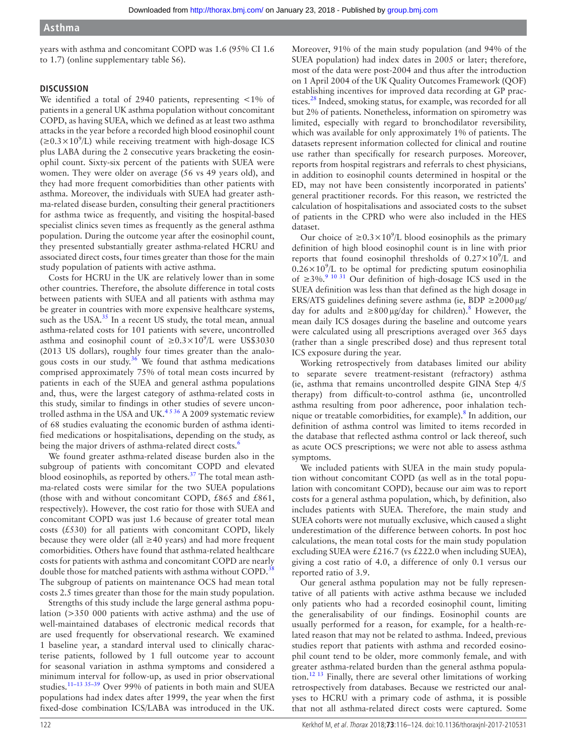years with asthma and concomitant COPD was 1.6 (95% CI 1.6 to 1.7) (online [supplementary table S6\)](https://dx.doi.org/10.1136/thoraxjnl-2017-210531).

#### **Discussion**

We identified a total of 2940 patients, representing <1% of patients in a general UK asthma population without concomitant COPD, as having SUEA, which we defined as at least two asthma attacks in the year before a recorded high blood eosinophil count  $(\geq 0.3 \times 10^9)$  while receiving treatment with high-dosage ICS plus LABA during the 2 consecutive years bracketing the eosinophil count. Sixty-six percent of the patients with SUEA were women. They were older on average (56 vs 49 years old), and they had more frequent comorbidities than other patients with asthma. Moreover, the individuals with SUEA had greater asthma-related disease burden, consulting their general practitioners for asthma twice as frequently, and visiting the hospital-based specialist clinics seven times as frequently as the general asthma population. During the outcome year after the eosinophil count, they presented substantially greater asthma-related HCRU and associated direct costs, four times greater than those for the main study population of patients with active asthma.

Costs for HCRU in the UK are relatively lower than in some other countries. Therefore, the absolute difference in total costs between patients with SUEA and all patients with asthma may be greater in countries with more expensive healthcare systems, such as the USA. $^{35}$  In a recent US study, the total mean, annual asthma-related costs for 101 patients with severe, uncontrolled asthma and eosinophil count of ≥0.3×10<sup>9</sup>/L were US\$3030 (2013 US dollars), roughly four times greater than the analogous costs in our study.[36](#page-8-11) We found that asthma medications comprised approximately 75% of total mean costs incurred by patients in each of the SUEA and general asthma populations and, thus, were the largest category of asthma-related costs in this study, similar to findings in other studies of severe uncontrolled asthma in the USA and UK.<sup>4536</sup> A 2009 systematic review of 68 studies evaluating the economic burden of asthma identified medications or hospitalisations, depending on the study, as being the major drivers of asthma-related direct costs.<sup>6</sup>

We found greater asthma-related disease burden also in the subgroup of patients with concomitant COPD and elevated blood eosinophils, as reported by others.<sup>[37](#page-8-12)</sup> The total mean asthma-related costs were similar for the two SUEA populations (those with and without concomitant COPD, £865 and £861, respectively). However, the cost ratio for those with SUEA and concomitant COPD was just 1.6 because of greater total mean costs ( $£530$ ) for all patients with concomitant COPD, likely because they were older (all  $\geq$  40 years) and had more frequent comorbidities. Others have found that asthma-related healthcare costs for patients with asthma and concomitant COPD are nearly double those for matched patients with asthma without COPD.<sup>[38](#page-8-13)</sup> The subgroup of patients on maintenance OCS had mean total costs 2.5 times greater than those for the main study population.

Strengths of this study include the large general asthma population (>350 000 patients with active asthma) and the use of well-maintained databases of electronic medical records that are used frequently for observational research. We examined 1 baseline year, a standard interval used to clinically characterise patients, followed by 1 full outcome year to account for seasonal variation in asthma symptoms and considered a minimum interval for follow-up, as used in prior observational studies.[11–13 35–39](#page-7-5) Over 99% of patients in both main and SUEA populations had index dates after 1999, the year when the first fixed-dose combination ICS/LABA was introduced in the UK.

Moreover, 91% of the main study population (and 94% of the SUEA population) had index dates in 2005 or later; therefore, most of the data were post-2004 and thus after the introduction on 1 April 2004 of the UK Quality Outcomes Framework (QOF) establishing incentives for improved data recording at GP practices[.28](#page-8-6) Indeed, smoking status, for example, was recorded for all but 2% of patients. Nonetheless, information on spirometry was limited, especially with regard to bronchodilator reversibility, which was available for only approximately 1% of patients. The datasets represent information collected for clinical and routine use rather than specifically for research purposes. Moreover, reports from hospital registrars and referrals to chest physicians, in addition to eosinophil counts determined in hospital or the ED, may not have been consistently incorporated in patients' general practitioner records. For this reason, we restricted the calculation of hospitalisations and associated costs to the subset of patients in the CPRD who were also included in the HES dataset.

Our choice of  $\geq 0.3 \times 10^9$ /L blood eosinophils as the primary definition of high blood eosinophil count is in line with prior reports that found eosinophil thresholds of  $0.27 \times 10^9$ /L and  $0.26 \times 10^9$ /L to be optimal for predicting sputum eosinophilia of ≥3%.<sup>[9 10 31](#page-7-7)</sup> Our definition of high-dosage ICS used in the SUEA definition was less than that defined as the high dosage in ERS/ATS guidelines defining severe asthma (ie, BDP ≥2000µg/ day for adults and ≥[8](#page-7-10)00µg/day for children).<sup>8</sup> However, the mean daily ICS dosages during the baseline and outcome years were calculated using all prescriptions averaged over 365 days (rather than a single prescribed dose) and thus represent total ICS exposure during the year.

Working retrospectively from databases limited our ability to separate severe treatment-resistant (refractory) asthma (ie, asthma that remains uncontrolled despite GINA Step 4/5 therapy) from difficult-to-control asthma (ie, uncontrolled asthma resulting from poor adherence, poor inhalation tech-nique or treatable comorbidities, for example).<sup>[8](#page-7-10)</sup> In addition, our definition of asthma control was limited to items recorded in the database that reflected asthma control or lack thereof, such as acute OCS prescriptions; we were not able to assess asthma symptoms.

We included patients with SUEA in the main study population without concomitant COPD (as well as in the total population with concomitant COPD), because our aim was to report costs for a general asthma population, which, by definition, also includes patients with SUEA. Therefore, the main study and SUEA cohorts were not mutually exclusive, which caused a slight underestimation of the difference between cohorts. In post hoc calculations, the mean total costs for the main study population excluding SUEA were £216.7 (vs £222.0 when including SUEA), giving a cost ratio of 4.0, a difference of only 0.1 versus our reported ratio of 3.9.

Our general asthma population may not be fully representative of all patients with active asthma because we included only patients who had a recorded eosinophil count, limiting the generalisability of our findings. Eosinophil counts are usually performed for a reason, for example, for a health-related reason that may not be related to asthma. Indeed, previous studies report that patients with asthma and recorded eosinophil count tend to be older, more commonly female, and with greater asthma-related burden than the general asthma popula-tion.<sup>[12 13](#page-7-11)</sup> Finally, there are several other limitations of working retrospectively from databases. Because we restricted our analyses to HCRU with a primary code of asthma, it is possible that not all asthma-related direct costs were captured. Some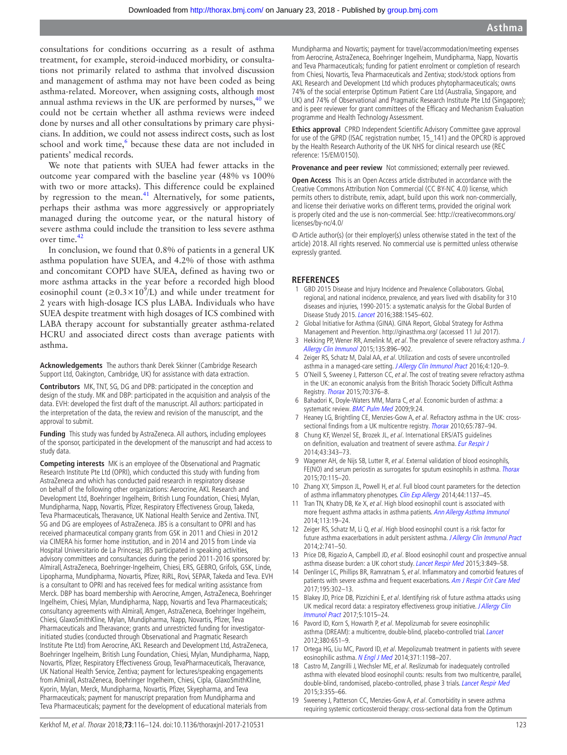consultations for conditions occurring as a result of asthma treatment, for example, steroid-induced morbidity, or consultations not primarily related to asthma that involved discussion and management of asthma may not have been coded as being asthma-related. Moreover, when assigning costs, although most annual asthma reviews in the UK are performed by nurses, $40$  we could not be certain whether all asthma reviews were indeed done by nurses and all other consultations by primary care physicians. In addition, we could not assess indirect costs, such as lost school and work time,  $6$  because these data are not included in patients' medical records.

We note that patients with SUEA had fewer attacks in the outcome year compared with the baseline year (48% vs 100% with two or more attacks). This difference could be explained by regression to the mean.<sup>41</sup> Alternatively, for some patients, perhaps their asthma was more aggressively or appropriately managed during the outcome year, or the natural history of severe asthma could include the transition to less severe asthma over time[.42](#page-8-16)

In conclusion, we found that 0.8% of patients in a general UK asthma population have SUEA, and 4.2% of those with asthma and concomitant COPD have SUEA, defined as having two or more asthma attacks in the year before a recorded high blood eosinophil count ( $\geq 0.3 \times 10^9$ /L) and while under treatment for 2 years with high-dosage ICS plus LABA. Individuals who have SUEA despite treatment with high dosages of ICS combined with LABA therapy account for substantially greater asthma-related HCRU and associated direct costs than average patients with asthma.

**Acknowledgements** The authors thank Derek Skinner (Cambridge Research Support Ltd, Oakington, Cambridge, UK) for assistance with data extraction.

**Contributors** MK, TNT, SG, DG and DPB: participated in the conception and design of the study. MK and DBP: participated in the acquisition and analysis of the data. EVH: developed the first draft of the manuscript. All authors: participated in the interpretation of the data, the review and revision of the manuscript, and the approval to submit.

**Funding** This study was funded by AstraZeneca. All authors, including employees of the sponsor, participated in the development of the manuscript and had access to study data.

**Competing interests** MK is an employee of the Observational and Pragmatic Research Institute Pte Ltd (OPRI), which conducted this study with funding from AstraZeneca and which has conducted paid research in respiratory disease on behalf of the following other organizations: Aerocrine, AKL Research and Development Ltd, Boehringer Ingelheim, British Lung Foundation, Chiesi, Mylan, Mundipharma, Napp, Novartis, Pfizer, Respiratory Effectiveness Group, Takeda, Teva Pharmaceuticals, Theravance, UK National Health Service and Zentiva. TNT, SG and DG are employees of AstraZeneca. JBS is a consultant to OPRI and has received pharmaceutical company grants from GSK in 2011 and Chiesi in 2012 via CIMERA his former home institution, and in 2014 and 2015 from Linde via Hospital Universitario de La Princesa; JBS participated in speaking activities, advisory committees and consultancies during the period 2011-2016 sponsored by: Almirall, AstraZeneca, Boehringer-Ingelheim, Chiesi, ERS, GEBRO, Grifols, GSK, Linde, Lipopharma, Mundipharma, Novartis, Pfizer, RiRL, Rovi, SEPAR, Takeda and Teva. EVH is a consultant to OPRI and has received fees for medical writing assistance from Merck. DBP has board membership with Aerocrine, Amgen, AstraZeneca, Boehringer Ingelheim, Chiesi, Mylan, Mundipharma, Napp, Novartis and Teva Pharmaceuticals; consultancy agreements with Almirall, Amgen, AstraZeneca, Boehringer Ingelheim, Chiesi, GlaxoSmithKline, Mylan, Mundipharma, Napp, Novartis, Pfizer, Teva Pharmaceuticals and Theravance; grants and unrestricted funding for investigatorinitiated studies (conducted through Observational and Pragmatic Research Institute Pte Ltd) from Aerocrine, AKL Research and Development Ltd, AstraZeneca, Boehringer Ingelheim, British Lung Foundation, Chiesi, Mylan, Mundipharma, Napp, Novartis, Pfizer, Respiratory Effectiveness Group, TevaPharmaceuticals, Theravance, UK National Health Service, Zentiva; payment for lectures/speaking engagements from Almirall, AstraZeneca, Boehringer Ingelheim, Chiesi, Cipla, GlaxoSmithKline, Kyorin, Mylan, Merck, Mundipharma, Novartis, Pfizer, Skyepharma, and Teva Pharmaceuticals; payment for manuscript preparation from Mundipharma and Teva Pharmaceuticals; payment for the development of educational materials from

Mundipharma and Novartis; payment for travel/accommodation/meeting expenses from Aerocrine, AstraZeneca, Boehringer Ingelheim, Mundipharma, Napp, Novartis and Teva Pharmaceuticals; funding for patient enrolment or completion of research from Chiesi, Novartis, Teva Pharmaceuticals and Zentiva; stock/stock options from AKL Research and Development Ltd which produces phytopharmaceuticals; owns 74% of the social enterprise Optimum Patient Care Ltd (Australia, Singapore, and UK) and 74% of Observational and Pragmatic Research Institute Pte Ltd (Singapore); and is peer reviewer for grant committees of the Efficacy and Mechanism Evaluation programme and Health Technology Assessment.

**Ethics approval** CPRD Independent Scientific Advisory Committee gave approval for use of the GPRD (ISAC registration number, 15\_141) and the OPCRD is approved by the Health Research Authority of the UK NHS for clinical research use (REC reference: 15/EM/0150).

**Provenance and peer review** Not commissioned; externally peer reviewed.

**Open Access** This is an Open Access article distributed in accordance with the Creative Commons Attribution Non Commercial (CC BY-NC 4.0) license, which permits others to distribute, remix, adapt, build upon this work non-commercially, and license their derivative works on different terms, provided the original work is properly cited and the use is non-commercial. See: [http://creativecommons.org/](http://creativecommons.org/licenses/by-nc/4.0/) [licenses/by-nc/4.0/](http://creativecommons.org/licenses/by-nc/4.0/)

© Article author(s) (or their employer(s) unless otherwise stated in the text of the article) 2018. All rights reserved. No commercial use is permitted unless otherwise expressly granted.

#### **References**

- <span id="page-7-0"></span>1 GBD 2015 Disease and Injury Incidence and Prevalence Collaborators. Global, regional, and national incidence, prevalence, and years lived with disability for 310 diseases and injuries, 1990-2015: a systematic analysis for the Global Burden of Disease Study 2015. [Lancet](http://dx.doi.org/10.1016/S0140-6736(16)31678-6) 2016;388:1545–602.
- <span id="page-7-1"></span>2 Global Initiative for Asthma (GINA). GINA Report, Global Strategy for Asthma Management and Prevention. <http://ginasthma.org/>(accessed 11 Jul 2017).
- <span id="page-7-2"></span>3 Hekking PP, Wener RR, Amelink M, et al. The prevalence of severe refractory asthma. J [Allergy Clin Immunol](http://dx.doi.org/10.1016/j.jaci.2014.08.042) 2015;135:896–902.
- <span id="page-7-8"></span>4 Zeiger RS, Schatz M, Dalal AA, et al. Utilization and costs of severe uncontrolled asthma in a managed-care setting. [J Allergy Clin Immunol Pract](http://dx.doi.org/10.1016/j.jaip.2015.08.003) 2016;4:120-9.
- <span id="page-7-3"></span>5 O'Neill S, Sweeney J, Patterson CC, et al. The cost of treating severe refractory asthma in the UK: an economic analysis from the British Thoracic Society Difficult Asthma Registry. [Thorax](http://dx.doi.org/10.1136/thoraxjnl-2013-204114) 2015;70:376–8.
- <span id="page-7-9"></span>6 Bahadori K, Doyle-Waters MM, Marra C, et al. Economic burden of asthma: a systematic review. [BMC Pulm Med](http://dx.doi.org/10.1186/1471-2466-9-24) 2009;9:24.
- <span id="page-7-4"></span>Heaney LG, Brightling CE, Menzies-Gow A, et al. Refractory asthma in the UK: cross-sectional findings from a UK multicentre registry. [Thorax](http://dx.doi.org/10.1136/thx.2010.137414) 2010;65:787-94.
- <span id="page-7-10"></span>8 Chung KF, Wenzel SE, Brozek JL, et al. International ERS/ATS guidelines on definition, evaluation and treatment of severe asthma. [Eur Respir J](http://dx.doi.org/10.1183/09031936.00202013) 2014;43:343–73.
- <span id="page-7-7"></span>9 Wagener AH, de Nijs SB, Lutter R, et al. External validation of blood eosinophils, FE(NO) and serum periostin as surrogates for sputum eosinophils in asthma. [Thorax](http://dx.doi.org/10.1136/thoraxjnl-2014-205634) 2015;70:115–20.
- 10 Zhang XY, Simpson JL, Powell H, et al. Full blood count parameters for the detection of asthma inflammatory phenotypes. [Clin Exp Allergy](http://dx.doi.org/10.1111/cea.12345) 2014;44:1137-45.
- <span id="page-7-5"></span>11 Tran TN, Khatry DB, Ke X, et al. High blood eosinophil count is associated with more frequent asthma attacks in asthma patients. [Ann Allergy Asthma Immunol](http://dx.doi.org/10.1016/j.anai.2014.04.011) 2014;113:19–24.
- <span id="page-7-11"></span>12 Zeiger RS, Schatz M, Li Q, et al. High blood eosinophil count is a risk factor for future asthma exacerbations in adult persistent asthma. [J Allergy Clin Immunol Pract](http://dx.doi.org/10.1016/j.jaip.2014.06.005) 2014;2:741–50.
- 13 Price DB, Rigazio A, Campbell JD, et al. Blood eosinophil count and prospective annual asthma disease burden: a UK cohort study. [Lancet Respir Med](http://dx.doi.org/10.1016/S2213-2600(15)00367-7) 2015;3:849-58.
- 14 Denlinger LC, Phillips BR, Ramratnam S, et al. Inflammatory and comorbid features of patients with severe asthma and frequent exacerbations. [Am J Respir Crit Care Med](http://dx.doi.org/10.1164/rccm.201602-0419OC) 2017;195:302–13.
- 15 Blakey JD, Price DB, Pizzichini E, et al. Identifying risk of future asthma attacks using UK medical record data: a respiratory effectiveness group initiative. J Allergy Clin [Immunol Pract](http://dx.doi.org/10.1016/j.jaip.2016.11.007) 2017;5:1015–24.
- <span id="page-7-6"></span>16 Pavord ID, Korn S, Howarth P, et al. Mepolizumab for severe eosinophilic asthma (DREAM): a multicentre, double-blind, placebo-controlled trial. [Lancet](http://dx.doi.org/10.1016/S0140-6736(12)60988-X) 2012;380:651–9.
- 17 Ortega HG, Liu MC, Pavord ID, et al. Mepolizumab treatment in patients with severe eosinophilic asthma. [N Engl J Med](http://dx.doi.org/10.1056/NEJMoa1403290) 2014;371:1198-207.
- 18 Castro M, Zangrilli J, Wechsler ME, et al. Reslizumab for inadequately controlled asthma with elevated blood eosinophil counts: results from two multicentre, parallel, double-blind, randomised, placebo-controlled, phase 3 trials. [Lancet Respir Med](http://dx.doi.org/10.1016/S2213-2600(15)00042-9) 2015;3:355–66.
- 19 Sweeney J, Patterson CC, Menzies-Gow A, et al. Comorbidity in severe asthma requiring systemic corticosteroid therapy: cross-sectional data from the Optimum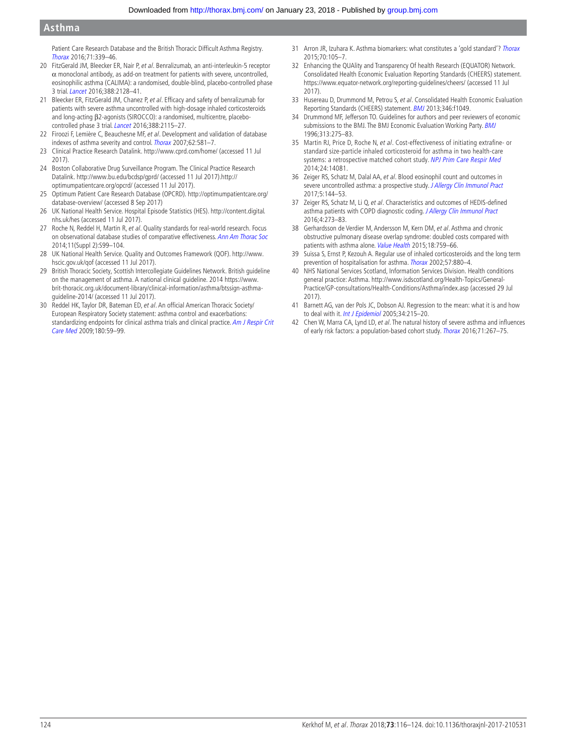Patient Care Research Database and the British Thoracic Difficult Asthma Registry. [Thorax](http://dx.doi.org/10.1136/thoraxjnl-2015-207630) 2016;71:339–46.

- <span id="page-8-0"></span>20 FitzGerald JM, Bleecker ER, Nair P, et al. Benralizumab, an anti-interleukin-5 receptor  $\alpha$  monoclonal antibody, as add-on treatment for patients with severe, uncontrolled, eosinophilic asthma (CALIMA): a randomised, double-blind, placebo-controlled phase 3 trial. [Lancet](http://dx.doi.org/10.1016/S0140-6736(16)31322-8) 2016;388:2128–41.
- 21 Bleecker ER, FitzGerald JM, Chanez P, et al. Efficacy and safety of benralizumab for patients with severe asthma uncontrolled with high-dosage inhaled corticosteroids and long-acting β2-agonists (SIROCCO): a randomised, multicentre, placebocontrolled phase 3 trial. [Lancet](http://dx.doi.org/10.1016/S0140-6736(16)31324-1) 2016;388:2115–27.
- <span id="page-8-1"></span>22 Firoozi F, Lemière C, Beauchesne MF, et al. Development and validation of database indexes of asthma severity and control. [Thorax](http://dx.doi.org/10.1136/thx.2006.061572) 2007;62:581–7.
- <span id="page-8-2"></span>23 Clinical Practice Research Datalink.<http://www.cprd.com/home/>(accessed 11 Jul 2017).
- 24 Boston Collaborative Drug Surveillance Program. The Clinical Practice Research Datalink. <http://www.bu.edu/bcdsp/gprd/>(accessed 11 Jul 2017).[http://](http://optimumpatientcare.org/opcrd/) [optimumpatientcare.org/opcrd/](http://optimumpatientcare.org/opcrd/) (accessed 11 Jul 2017).
- <span id="page-8-3"></span>25 Optimum Patient Care Research Database (OPCRD). [http://optimumpatientcare.org/](http://optimumpatientcare.org/database-overview/) [database-overview/](http://optimumpatientcare.org/database-overview/) (accessed 8 Sep 2017)
- <span id="page-8-4"></span>26 UK National Health Service. Hospital Episode Statistics (HES). [http://content.digital.](http://content.digital.nhs.uk/hes) [nhs.uk/hes](http://content.digital.nhs.uk/hes) (accessed 11 Jul 2017).
- <span id="page-8-5"></span>27 Roche N, Reddel H, Martin R, et al. Quality standards for real-world research. Focus on observational database studies of comparative effectiveness. [Ann Am Thorac Soc](http://dx.doi.org/10.1513/AnnalsATS.201309-300RM) 2014;11(Suppl 2):S99–104.
- <span id="page-8-6"></span>28 UK National Health Service. Quality and Outcomes Framework (QOF). [http://www.](http://www.hscic.gov.uk/qof) [hscic.gov.uk/qof](http://www.hscic.gov.uk/qof) (accessed 11 Jul 2017).
- <span id="page-8-7"></span>29 British Thoracic Society, Scottish Intercollegiate Guidelines Network. British guideline on the management of asthma. A national clinical guideline. 2014 [https://www.](https://www.brit-thoracic.org.uk/document-library/clinical-information/asthma/btssign-asthma-guideline-2014/) [brit-thoracic.org.uk/document-library/clinical-information/asthma/btssign-asthma](https://www.brit-thoracic.org.uk/document-library/clinical-information/asthma/btssign-asthma-guideline-2014/)[guideline-2014/](https://www.brit-thoracic.org.uk/document-library/clinical-information/asthma/btssign-asthma-guideline-2014/) (accessed 11 Jul 2017).
- <span id="page-8-8"></span>30 Reddel HK, Taylor DR, Bateman ED, et al. An official American Thoracic Society/ European Respiratory Society statement: asthma control and exacerbations: standardizing endpoints for clinical asthma trials and clinical practice. Am J Respir Crit [Care Med](http://dx.doi.org/10.1164/rccm.200801-060ST) 2009;180:59–99.
- 31 Arron JR, Izuhara K. Asthma biomarkers: what constitutes a 'gold standard'? [Thorax](http://dx.doi.org/10.1136/thoraxjnl-2014-206069) 2015;70:105–7.
- <span id="page-8-9"></span>32 Enhancing the QUAlity and Transparency Of health Research (EQUATOR) Network. Consolidated Health Economic Evaluation Reporting Standards (CHEERS) statement. <https://www.equator-network.org/reporting-guidelines/cheers/> (accessed 11 Jul 2017).
- 33 Husereau D, Drummond M, Petrou S, et al. Consolidated Health Economic Evaluation Reporting Standards (CHEERS) statement. [BMJ](http://dx.doi.org/10.1136/bmj.f1049) 2013;346:f1049.
- 34 Drummond MF, Jefferson TO. Guidelines for authors and peer reviewers of economic submissions to the BMJ. The BMJ Economic Evaluation Working Party. BMJ 1996;313:275–83.
- <span id="page-8-10"></span>35 Martin RJ, Price D, Roche N, et al. Cost-effectiveness of initiating extrafine- or standard size-particle inhaled corticosteroid for asthma in two health-care systems: a retrospective matched cohort study. [NPJ Prim Care Respir Med](http://dx.doi.org/10.1038/npjpcrm.2014.81) 2014;24:14081.
- <span id="page-8-11"></span>36 Zeiger RS, Schatz M, Dalal AA, et al. Blood eosinophil count and outcomes in severe uncontrolled asthma: a prospective study. [J Allergy Clin Immunol Pract](http://dx.doi.org/10.1016/j.jaip.2016.07.015) 2017;5:144–53.
- <span id="page-8-12"></span>37 Zeiger RS, Schatz M, Li Q, et al. Characteristics and outcomes of HEDIS-defined asthma patients with COPD diagnostic coding. [J Allergy Clin Immunol Pract](http://dx.doi.org/10.1016/j.jaip.2015.10.002) 2016;4:273–83.
- <span id="page-8-13"></span>38 Gerhardsson de Verdier M, Andersson M, Kern DM, et al. Asthma and chronic obstructive pulmonary disease overlap syndrome: doubled costs compared with patients with asthma alone. [Value Health](http://dx.doi.org/10.1016/j.jval.2015.04.010) 2015;18:759-66.
- 39 Suissa S, Ernst P, Kezouh A. Regular use of inhaled corticosteroids and the long term prevention of hospitalisation for asthma. [Thorax](http://dx.doi.org/10.1136/thorax.57.10.880) 2002;57:880-4.
- <span id="page-8-14"></span>40 NHS National Services Scotland, Information Services Division. Health conditions general practice: Asthma. [http://www.isdscotland.org/Health-Topics/General-](http://www.isdscotland.org/Health-Topics/General-Practice/GP-consultations/Health-Conditions/Asthma/index.asp)[Practice/GP-consultations/Health-Conditions/Asthma/index.asp](http://www.isdscotland.org/Health-Topics/General-Practice/GP-consultations/Health-Conditions/Asthma/index.asp) (accessed 29 Jul 2017).
- <span id="page-8-15"></span>41 Barnett AG, van der Pols JC, Dobson AJ. Regression to the mean: what it is and how to deal with it. [Int J Epidemiol](http://dx.doi.org/10.1093/ije/dyh299) 2005;34:215-20.
- <span id="page-8-16"></span>42 Chen W, Marra CA, Lynd LD, et al. The natural history of severe asthma and influences of early risk factors: a population-based cohort study. [Thorax](http://dx.doi.org/10.1136/thoraxjnl-2015-207530) 2016;71:267–75.